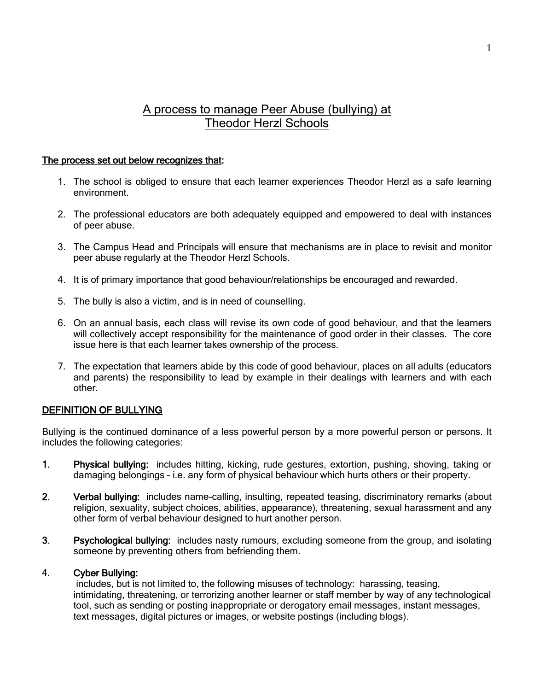# A process to manage Peer Abuse (bullying) at Theodor Herzl Schools

#### The process set out below recognizes that:

- 1. The school is obliged to ensure that each learner experiences Theodor Herzl as a safe learning environment.
- 2. The professional educators are both adequately equipped and empowered to deal with instances of peer abuse.
- 3. The Campus Head and Principals will ensure that mechanisms are in place to revisit and monitor peer abuse regularly at the Theodor Herzl Schools.
- 4. It is of primary importance that good behaviour/relationships be encouraged and rewarded.
- 5. The bully is also a victim, and is in need of counselling.
- 6. On an annual basis, each class will revise its own code of good behaviour, and that the learners will collectively accept responsibility for the maintenance of good order in their classes. The core issue here is that each learner takes ownership of the process.
- 7. The expectation that learners abide by this code of good behaviour, places on all adults (educators and parents) the responsibility to lead by example in their dealings with learners and with each other.

# DEFINITION OF BULLYING

Bullying is the continued dominance of a less powerful person by a more powerful person or persons. It includes the following categories:

- 1. Physical bullying: includes hitting, kicking, rude gestures, extortion, pushing, shoving, taking or damaging belongings – i.e. any form of physical behaviour which hurts others or their property.
- 2. Verbal bullying: includes name-calling, insulting, repeated teasing, discriminatory remarks (about religion, sexuality, subject choices, abilities, appearance), threatening, sexual harassment and any other form of verbal behaviour designed to hurt another person.
- 3. Psychological bullying: includes nasty rumours, excluding someone from the group, and isolating someone by preventing others from befriending them.

## 4. Cyber Bullying:

 includes, but is not limited to, the following misuses of technology: harassing, teasing, intimidating, threatening, or terrorizing another learner or staff member by way of any technological tool, such as sending or posting inappropriate or derogatory email messages, instant messages, text messages, digital pictures or images, or website postings (including blogs).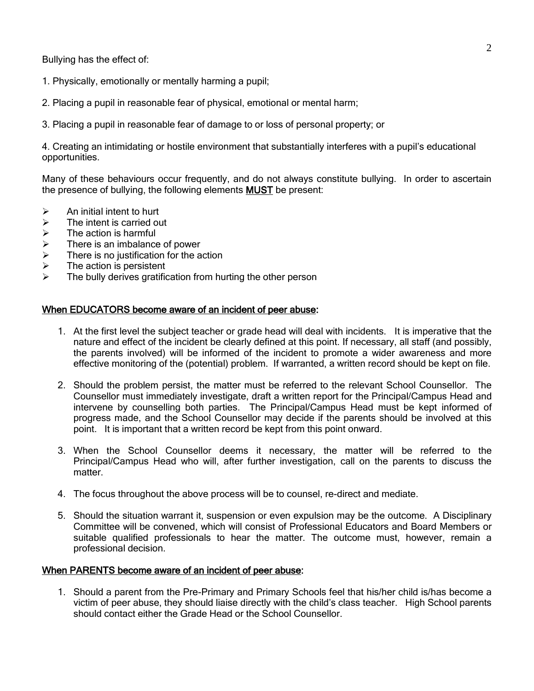Bullying has the effect of:

- 1. Physically, emotionally or mentally harming a pupil;
- 2. Placing a pupil in reasonable fear of physical, emotional or mental harm;
- 3. Placing a pupil in reasonable fear of damage to or loss of personal property; or

4. Creating an intimidating or hostile environment that substantially interferes with a pupil's educational opportunities.

Many of these behaviours occur frequently, and do not always constitute bullying. In order to ascertain the presence of bullying, the following elements MUST be present:

- $\triangleright$  An initial intent to hurt
- $\triangleright$  The intent is carried out
- $\geq$  The action is harmful<br> $\geq$  There is an imbalance
- $\geq$  There is an imbalance of power<br>  $\geq$  There is no justification for the a
- There is no justification for the action
- $\triangleright$  The action is persistent
- The bully derives gratification from hurting the other person

#### When EDUCATORS become aware of an incident of peer abuse:

- 1. At the first level the subject teacher or grade head will deal with incidents. It is imperative that the nature and effect of the incident be clearly defined at this point. If necessary, all staff (and possibly, the parents involved) will be informed of the incident to promote a wider awareness and more effective monitoring of the (potential) problem. If warranted, a written record should be kept on file.
- 2. Should the problem persist, the matter must be referred to the relevant School Counsellor. The Counsellor must immediately investigate, draft a written report for the Principal/Campus Head and intervene by counselling both parties. The Principal/Campus Head must be kept informed of progress made, and the School Counsellor may decide if the parents should be involved at this point. It is important that a written record be kept from this point onward.
- 3. When the School Counsellor deems it necessary, the matter will be referred to the Principal/Campus Head who will, after further investigation, call on the parents to discuss the matter.
- 4. The focus throughout the above process will be to counsel, re-direct and mediate.
- 5. Should the situation warrant it, suspension or even expulsion may be the outcome. A Disciplinary Committee will be convened, which will consist of Professional Educators and Board Members or suitable qualified professionals to hear the matter. The outcome must, however, remain a professional decision.

#### When PARENTS become aware of an incident of peer abuse:

1. Should a parent from the Pre-Primary and Primary Schools feel that his/her child is/has become a victim of peer abuse, they should liaise directly with the child's class teacher. High School parents should contact either the Grade Head or the School Counsellor.